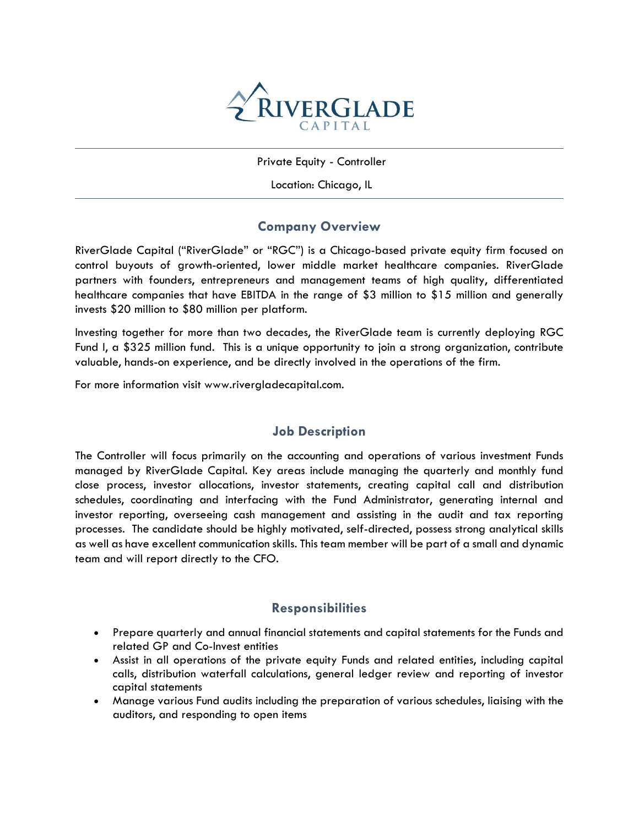

Private Equity - Controller

Location: Chicago, IL

# **Company Overview**

RiverGlade Capital ("RiverGlade" or "RGC") is a Chicago-based private equity firm focused on control buyouts of growth-oriented, lower middle market healthcare companies. RiverGlade partners with founders, entrepreneurs and management teams of high quality, differentiated healthcare companies that have EBITDA in the range of \$3 million to \$15 million and generally invests \$20 million to \$80 million per platform.

Investing together for more than two decades, the RiverGlade team is currently deploying RGC Fund I, a \$325 million fund. This is a unique opportunity to join a strong organization, contribute valuable, hands-on experience, and be directly involved in the operations of the firm.

For more information visit www.rivergladecapital.com.

### **Job Description**

The Controller will focus primarily on the accounting and operations of various investment Funds managed by RiverGlade Capital. Key areas include managing the quarterly and monthly fund close process, investor allocations, investor statements, creating capital call and distribution schedules, coordinating and interfacing with the Fund Administrator, generating internal and investor reporting, overseeing cash management and assisting in the audit and tax reporting processes. The candidate should be highly motivated, self-directed, possess strong analytical skills as well as have excellent communication skills. This team member will be part of a small and dynamic team and will report directly to the CFO.

### **Responsibilities**

- Prepare quarterly and annual financial statements and capital statements for the Funds and related GP and Co-Invest entities
- Assist in all operations of the private equity Funds and related entities, including capital calls, distribution waterfall calculations, general ledger review and reporting of investor capital statements
- Manage various Fund audits including the preparation of various schedules, liaising with the auditors, and responding to open items